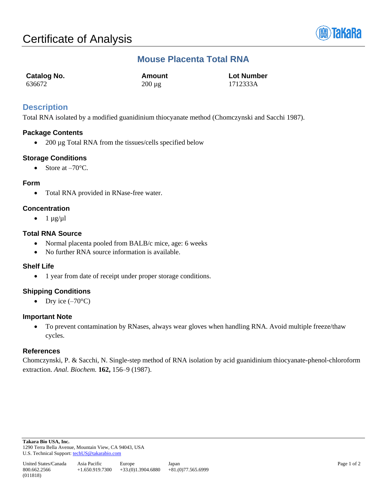

# **Mouse Placenta Total RNA**

| Catalog No. | Amount      | <b>Lot Number</b> |
|-------------|-------------|-------------------|
| 636672      | $200 \mu g$ | 1712333A          |

## **Description**

Total RNA isolated by a modified guanidinium thiocyanate method (Chomczynski and Sacchi 1987).

## **Package Contents**

• 200 µg Total RNA from the tissues/cells specified below

## **Storage Conditions**

• Store at  $-70^{\circ}$ C.

## **Form**

• Total RNA provided in RNase-free water.

## **Concentration**

 $\bullet$  1  $\mu$ g/ $\mu$ l

## **Total RNA Source**

- Normal placenta pooled from BALB/c mice, age: 6 weeks
- No further RNA source information is available.

#### **Shelf Life**

• 1 year from date of receipt under proper storage conditions.

#### **Shipping Conditions**

• Dry ice  $(-70^{\circ}C)$ 

#### **Important Note**

• To prevent contamination by RNases, always wear gloves when handling RNA. Avoid multiple freeze/thaw cycles.

#### **References**

Chomczynski, P. & Sacchi, N. Single-step method of RNA isolation by acid guanidinium thiocyanate-phenol-chloroform extraction. *Anal. Biochem.* **162,** 156–9 (1987).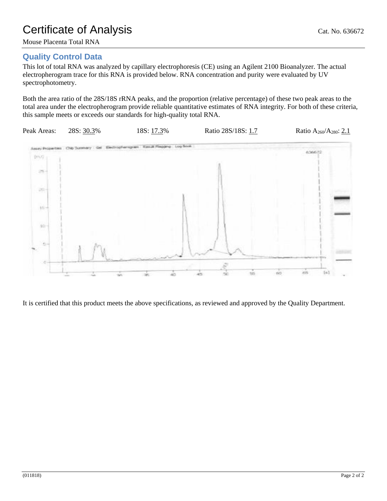# Certificate of Analysis Cat. No. 636672

# **Quality Control Data**

This lot of total RNA was analyzed by capillary electrophoresis (CE) using an Agilent 2100 Bioanalyzer. The actual electropherogram trace for this RNA is provided below. RNA concentration and purity were evaluated by UV spectrophotometry.

Both the area ratio of the 28S/18S rRNA peaks, and the proportion (relative percentage) of these two peak areas to the total area under the electropherogram provide reliable quantitative estimates of RNA integrity. For both of these criteria, this sample meets or exceeds our standards for high-quality total RNA.



It is certified that this product meets the above specifications, as reviewed and approved by the Quality Department.